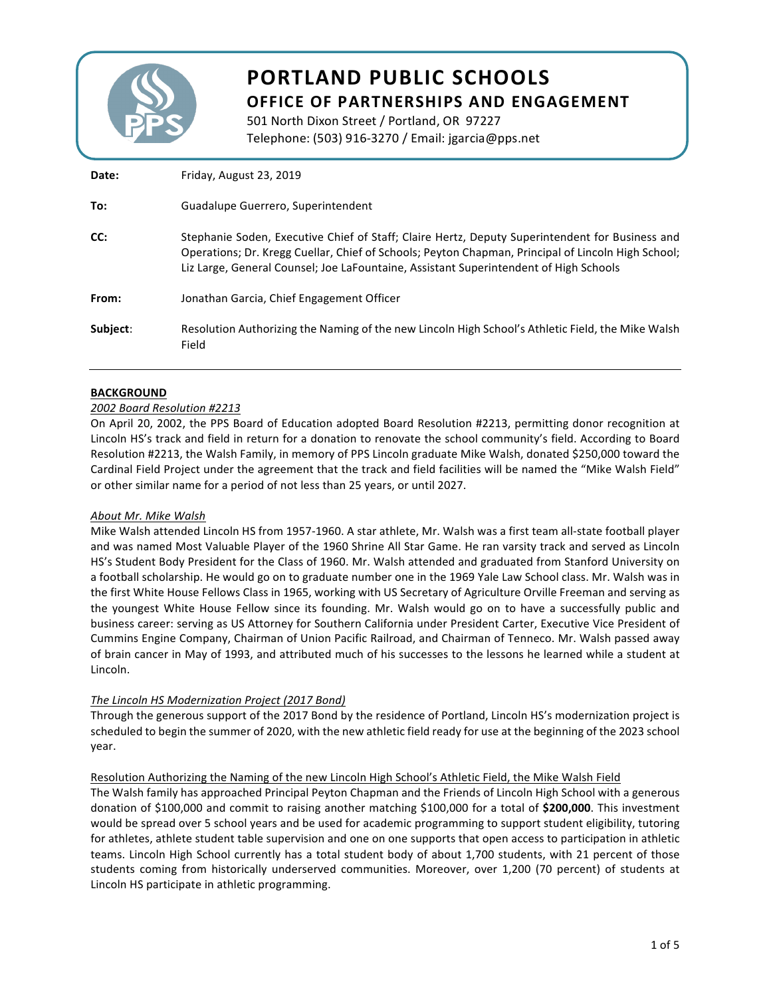

# **PORTLAND PUBLIC SCHOOLS OFFICE OF PARTNERSHIPS AND ENGAGEMENT**

501 North Dixon Street / Portland, OR 97227 Telephone: (503) 916-3270 / Email: jgarcia@pps.net

| Date:    | Friday, August 23, 2019                                                                                                                                                                                                                                                                        |
|----------|------------------------------------------------------------------------------------------------------------------------------------------------------------------------------------------------------------------------------------------------------------------------------------------------|
| To:      | Guadalupe Guerrero, Superintendent                                                                                                                                                                                                                                                             |
| CC:      | Stephanie Soden, Executive Chief of Staff; Claire Hertz, Deputy Superintendent for Business and<br>Operations; Dr. Kregg Cuellar, Chief of Schools; Peyton Chapman, Principal of Lincoln High School;<br>Liz Large, General Counsel; Joe LaFountaine, Assistant Superintendent of High Schools |
| From:    | Jonathan Garcia, Chief Engagement Officer                                                                                                                                                                                                                                                      |
| Subject: | Resolution Authorizing the Naming of the new Lincoln High School's Athletic Field, the Mike Walsh<br>Field                                                                                                                                                                                     |

#### **BACKGROUND**

#### *2002 Board Resolution #2213*

On April 20, 2002, the PPS Board of Education adopted Board Resolution #2213, permitting donor recognition at Lincoln HS's track and field in return for a donation to renovate the school community's field. According to Board Resolution #2213, the Walsh Family, in memory of PPS Lincoln graduate Mike Walsh, donated \$250,000 toward the Cardinal Field Project under the agreement that the track and field facilities will be named the "Mike Walsh Field" or other similar name for a period of not less than 25 years, or until 2027.

## *About Mr. Mike Walsh*

Mike Walsh attended Lincoln HS from 1957-1960. A star athlete, Mr. Walsh was a first team all-state football player and was named Most Valuable Player of the 1960 Shrine All Star Game. He ran varsity track and served as Lincoln HS's Student Body President for the Class of 1960. Mr. Walsh attended and graduated from Stanford University on a football scholarship. He would go on to graduate number one in the 1969 Yale Law School class. Mr. Walsh was in the first White House Fellows Class in 1965, working with US Secretary of Agriculture Orville Freeman and serving as the youngest White House Fellow since its founding. Mr. Walsh would go on to have a successfully public and business career: serving as US Attorney for Southern California under President Carter, Executive Vice President of Cummins Engine Company, Chairman of Union Pacific Railroad, and Chairman of Tenneco. Mr. Walsh passed away of brain cancer in May of 1993, and attributed much of his successes to the lessons he learned while a student at Lincoln.

## The Lincoln HS Modernization Project (2017 Bond)

Through the generous support of the 2017 Bond by the residence of Portland, Lincoln HS's modernization project is scheduled to begin the summer of 2020, with the new athletic field ready for use at the beginning of the 2023 school year. 

## Resolution Authorizing the Naming of the new Lincoln High School's Athletic Field, the Mike Walsh Field

The Walsh family has approached Principal Peyton Chapman and the Friends of Lincoln High School with a generous donation of \$100,000 and commit to raising another matching \$100,000 for a total of \$200,000. This investment would be spread over 5 school years and be used for academic programming to support student eligibility, tutoring for athletes, athlete student table supervision and one on one supports that open access to participation in athletic teams. Lincoln High School currently has a total student body of about 1,700 students, with 21 percent of those students coming from historically underserved communities. Moreover, over 1,200 (70 percent) of students at Lincoln HS participate in athletic programming.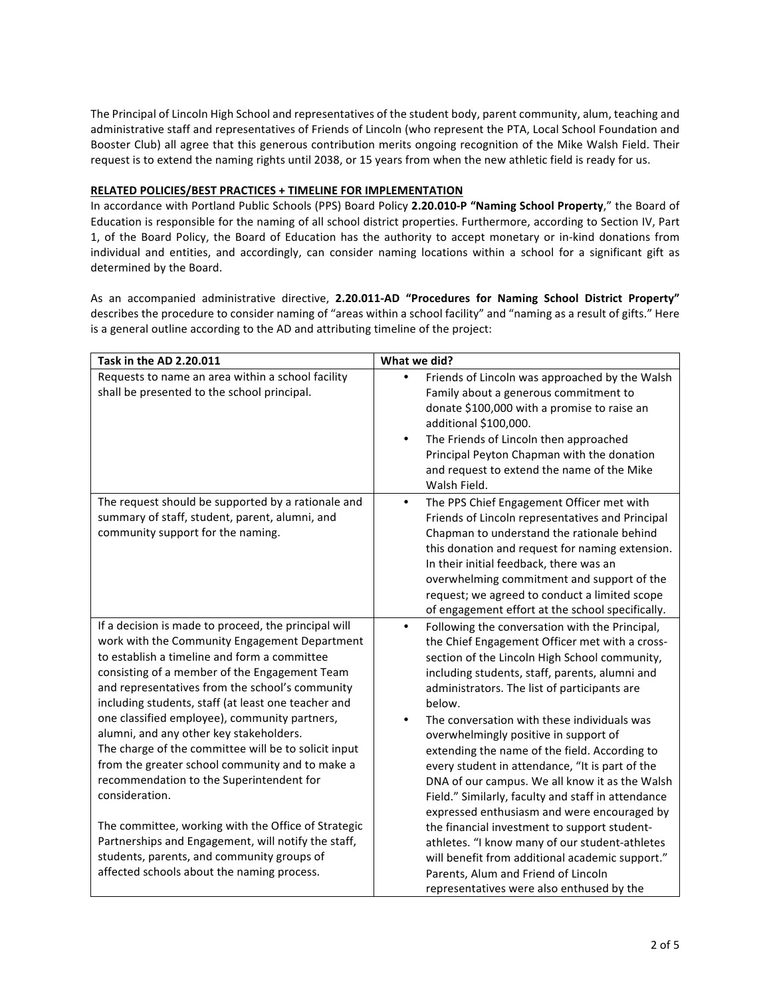The Principal of Lincoln High School and representatives of the student body, parent community, alum, teaching and administrative staff and representatives of Friends of Lincoln (who represent the PTA, Local School Foundation and Booster Club) all agree that this generous contribution merits ongoing recognition of the Mike Walsh Field. Their request is to extend the naming rights until 2038, or 15 years from when the new athletic field is ready for us.

#### **RELATED POLICIES/BEST PRACTICES + TIMELINE FOR IMPLEMENTATION**

In accordance with Portland Public Schools (PPS) Board Policy 2.20.010-P "Naming School Property," the Board of Education is responsible for the naming of all school district properties. Furthermore, according to Section IV, Part 1, of the Board Policy, the Board of Education has the authority to accept monetary or in-kind donations from individual and entities, and accordingly, can consider naming locations within a school for a significant gift as determined by the Board.

As an accompanied administrative directive, 2.20.011-AD "Procedures for Naming School District Property" describes the procedure to consider naming of "areas within a school facility" and "naming as a result of gifts." Here is a general outline according to the AD and attributing timeline of the project:

| Task in the AD 2.20.011                                                                                                                                                                                                                                                                                                                                                                                                                                                                                                                                                               | What we did?                                                                                                                                                                                                                                                                                                                                                                                                                                                                                                                                                                                                                  |
|---------------------------------------------------------------------------------------------------------------------------------------------------------------------------------------------------------------------------------------------------------------------------------------------------------------------------------------------------------------------------------------------------------------------------------------------------------------------------------------------------------------------------------------------------------------------------------------|-------------------------------------------------------------------------------------------------------------------------------------------------------------------------------------------------------------------------------------------------------------------------------------------------------------------------------------------------------------------------------------------------------------------------------------------------------------------------------------------------------------------------------------------------------------------------------------------------------------------------------|
| Requests to name an area within a school facility<br>shall be presented to the school principal.                                                                                                                                                                                                                                                                                                                                                                                                                                                                                      | Friends of Lincoln was approached by the Walsh<br>Family about a generous commitment to<br>donate \$100,000 with a promise to raise an<br>additional \$100,000.<br>The Friends of Lincoln then approached<br>٠<br>Principal Peyton Chapman with the donation<br>and request to extend the name of the Mike<br>Walsh Field.                                                                                                                                                                                                                                                                                                    |
| The request should be supported by a rationale and<br>summary of staff, student, parent, alumni, and<br>community support for the naming.                                                                                                                                                                                                                                                                                                                                                                                                                                             | The PPS Chief Engagement Officer met with<br>$\bullet$<br>Friends of Lincoln representatives and Principal<br>Chapman to understand the rationale behind<br>this donation and request for naming extension.<br>In their initial feedback, there was an<br>overwhelming commitment and support of the<br>request; we agreed to conduct a limited scope<br>of engagement effort at the school specifically.                                                                                                                                                                                                                     |
| If a decision is made to proceed, the principal will<br>work with the Community Engagement Department<br>to establish a timeline and form a committee<br>consisting of a member of the Engagement Team<br>and representatives from the school's community<br>including students, staff (at least one teacher and<br>one classified employee), community partners,<br>alumni, and any other key stakeholders.<br>The charge of the committee will be to solicit input<br>from the greater school community and to make a<br>recommendation to the Superintendent for<br>consideration. | Following the conversation with the Principal,<br>$\bullet$<br>the Chief Engagement Officer met with a cross-<br>section of the Lincoln High School community,<br>including students, staff, parents, alumni and<br>administrators. The list of participants are<br>below.<br>The conversation with these individuals was<br>overwhelmingly positive in support of<br>extending the name of the field. According to<br>every student in attendance, "It is part of the<br>DNA of our campus. We all know it as the Walsh<br>Field." Similarly, faculty and staff in attendance<br>expressed enthusiasm and were encouraged by |
| The committee, working with the Office of Strategic<br>Partnerships and Engagement, will notify the staff,<br>students, parents, and community groups of<br>affected schools about the naming process.                                                                                                                                                                                                                                                                                                                                                                                | the financial investment to support student-<br>athletes. "I know many of our student-athletes<br>will benefit from additional academic support."<br>Parents, Alum and Friend of Lincoln<br>representatives were also enthused by the                                                                                                                                                                                                                                                                                                                                                                                         |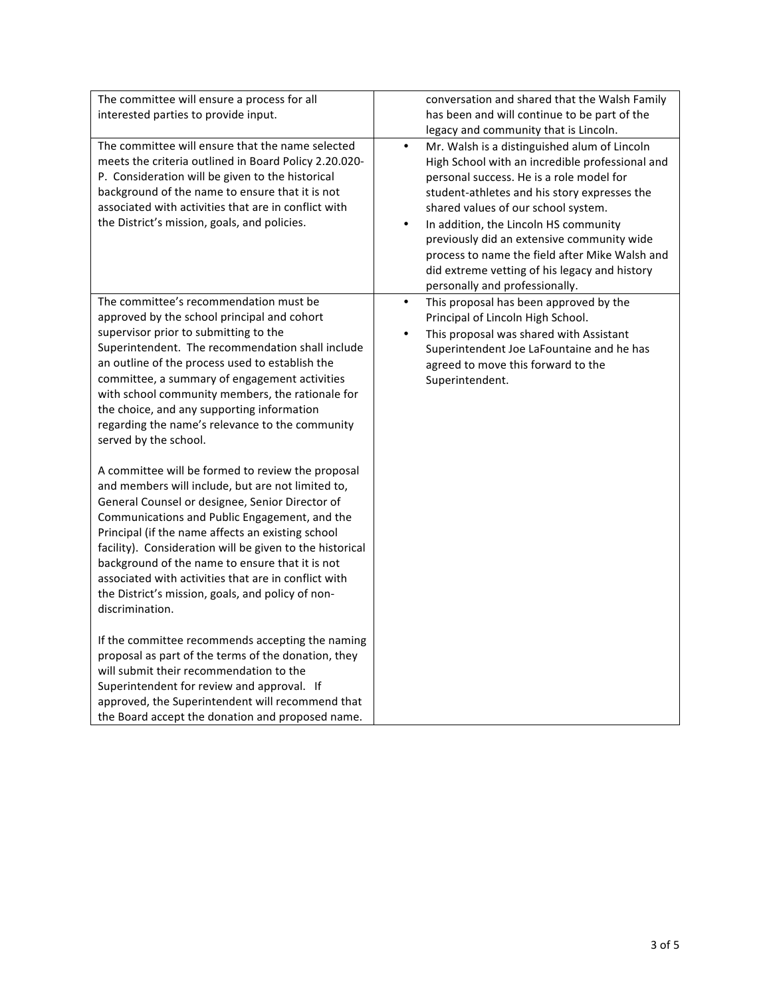| The committee will ensure a process for all                                                                                                                                                                                                                                                                                                                                                                                                                                                                    | conversation and shared that the Walsh Family                                                                                                                                                                                                                                                                                                                                                                                                                                            |
|----------------------------------------------------------------------------------------------------------------------------------------------------------------------------------------------------------------------------------------------------------------------------------------------------------------------------------------------------------------------------------------------------------------------------------------------------------------------------------------------------------------|------------------------------------------------------------------------------------------------------------------------------------------------------------------------------------------------------------------------------------------------------------------------------------------------------------------------------------------------------------------------------------------------------------------------------------------------------------------------------------------|
| interested parties to provide input.                                                                                                                                                                                                                                                                                                                                                                                                                                                                           | has been and will continue to be part of the                                                                                                                                                                                                                                                                                                                                                                                                                                             |
|                                                                                                                                                                                                                                                                                                                                                                                                                                                                                                                | legacy and community that is Lincoln.                                                                                                                                                                                                                                                                                                                                                                                                                                                    |
| The committee will ensure that the name selected<br>meets the criteria outlined in Board Policy 2.20.020-<br>P. Consideration will be given to the historical<br>background of the name to ensure that it is not<br>associated with activities that are in conflict with<br>the District's mission, goals, and policies.                                                                                                                                                                                       | $\bullet$<br>Mr. Walsh is a distinguished alum of Lincoln<br>High School with an incredible professional and<br>personal success. He is a role model for<br>student-athletes and his story expresses the<br>shared values of our school system.<br>In addition, the Lincoln HS community<br>$\bullet$<br>previously did an extensive community wide<br>process to name the field after Mike Walsh and<br>did extreme vetting of his legacy and history<br>personally and professionally. |
| The committee's recommendation must be<br>approved by the school principal and cohort<br>supervisor prior to submitting to the<br>Superintendent. The recommendation shall include<br>an outline of the process used to establish the<br>committee, a summary of engagement activities<br>with school community members, the rationale for<br>the choice, and any supporting information<br>regarding the name's relevance to the community<br>served by the school.                                           | This proposal has been approved by the<br>$\bullet$<br>Principal of Lincoln High School.<br>This proposal was shared with Assistant<br>$\bullet$<br>Superintendent Joe LaFountaine and he has<br>agreed to move this forward to the<br>Superintendent.                                                                                                                                                                                                                                   |
| A committee will be formed to review the proposal<br>and members will include, but are not limited to,<br>General Counsel or designee, Senior Director of<br>Communications and Public Engagement, and the<br>Principal (if the name affects an existing school<br>facility). Consideration will be given to the historical<br>background of the name to ensure that it is not<br>associated with activities that are in conflict with<br>the District's mission, goals, and policy of non-<br>discrimination. |                                                                                                                                                                                                                                                                                                                                                                                                                                                                                          |
| If the committee recommends accepting the naming<br>proposal as part of the terms of the donation, they<br>will submit their recommendation to the<br>Superintendent for review and approval. If<br>approved, the Superintendent will recommend that<br>the Board accept the donation and proposed name.                                                                                                                                                                                                       |                                                                                                                                                                                                                                                                                                                                                                                                                                                                                          |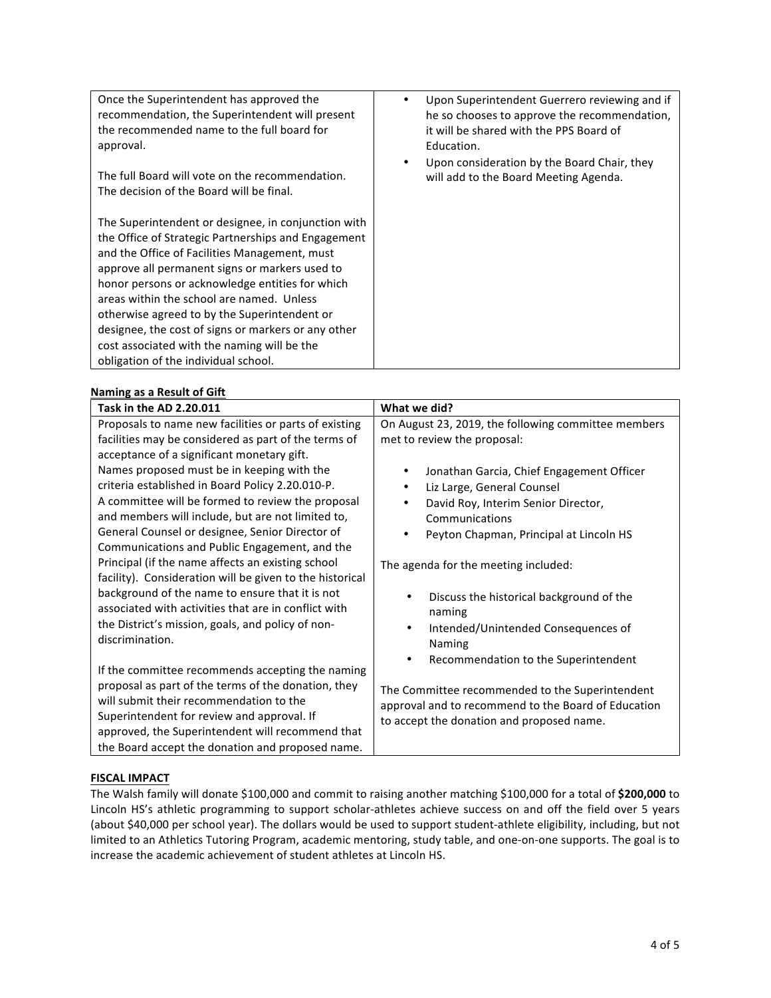| Once the Superintendent has approved the<br>recommendation, the Superintendent will present<br>the recommended name to the full board for<br>approval.                                                                                                                                                                                                                                                                                                                                                      | Upon Superintendent Guerrero reviewing and if<br>٠<br>he so chooses to approve the recommendation,<br>it will be shared with the PPS Board of<br>Education. |
|-------------------------------------------------------------------------------------------------------------------------------------------------------------------------------------------------------------------------------------------------------------------------------------------------------------------------------------------------------------------------------------------------------------------------------------------------------------------------------------------------------------|-------------------------------------------------------------------------------------------------------------------------------------------------------------|
| The full Board will vote on the recommendation.<br>The decision of the Board will be final.                                                                                                                                                                                                                                                                                                                                                                                                                 | Upon consideration by the Board Chair, they<br>will add to the Board Meeting Agenda.                                                                        |
| The Superintendent or designee, in conjunction with<br>the Office of Strategic Partnerships and Engagement<br>and the Office of Facilities Management, must<br>approve all permanent signs or markers used to<br>honor persons or acknowledge entities for which<br>areas within the school are named. Unless<br>otherwise agreed to by the Superintendent or<br>designee, the cost of signs or markers or any other<br>cost associated with the naming will be the<br>obligation of the individual school. |                                                                                                                                                             |

## **Naming as a Result of Gift**

| vanning as a nesant or on t<br>Task in the AD 2.20.011                                                                                                                                                                                                                                                                                                                                                                     | What we did?                                                                                                                                                                                                                                                                |
|----------------------------------------------------------------------------------------------------------------------------------------------------------------------------------------------------------------------------------------------------------------------------------------------------------------------------------------------------------------------------------------------------------------------------|-----------------------------------------------------------------------------------------------------------------------------------------------------------------------------------------------------------------------------------------------------------------------------|
| Proposals to name new facilities or parts of existing<br>facilities may be considered as part of the terms of<br>acceptance of a significant monetary gift.<br>Names proposed must be in keeping with the<br>criteria established in Board Policy 2.20.010-P.<br>A committee will be formed to review the proposal<br>and members will include, but are not limited to,<br>General Counsel or designee, Senior Director of | On August 23, 2019, the following committee members<br>met to review the proposal:<br>Jonathan Garcia, Chief Engagement Officer<br>٠<br>Liz Large, General Counsel<br>٠<br>David Roy, Interim Senior Director,<br>Communications<br>Peyton Chapman, Principal at Lincoln HS |
| Communications and Public Engagement, and the<br>Principal (if the name affects an existing school<br>facility). Consideration will be given to the historical<br>background of the name to ensure that it is not<br>associated with activities that are in conflict with<br>the District's mission, goals, and policy of non-<br>discrimination.                                                                          | The agenda for the meeting included:<br>Discuss the historical background of the<br>naming<br>Intended/Unintended Consequences of<br>٠<br>Naming                                                                                                                            |
| If the committee recommends accepting the naming<br>proposal as part of the terms of the donation, they<br>will submit their recommendation to the<br>Superintendent for review and approval. If<br>approved, the Superintendent will recommend that<br>the Board accept the donation and proposed name.                                                                                                                   | Recommendation to the Superintendent<br>The Committee recommended to the Superintendent<br>approval and to recommend to the Board of Education<br>to accept the donation and proposed name.                                                                                 |

#### **FISCAL IMPACT**

The Walsh family will donate \$100,000 and commit to raising another matching \$100,000 for a total of \$200,000 to Lincoln HS's athletic programming to support scholar-athletes achieve success on and off the field over 5 years (about \$40,000 per school year). The dollars would be used to support student-athlete eligibility, including, but not limited to an Athletics Tutoring Program, academic mentoring, study table, and one-on-one supports. The goal is to increase the academic achievement of student athletes at Lincoln HS.